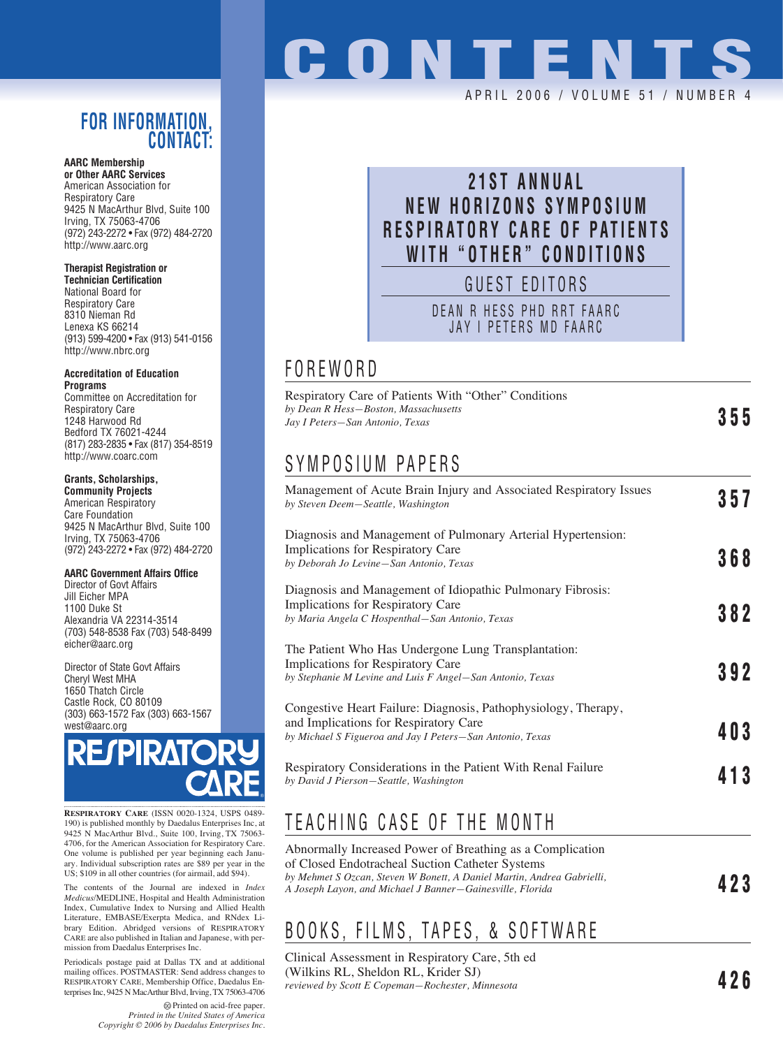### **FOR INFORMATION, CONTACT:**

**AARC Membership or Other AARC Services** American Association for Respiratory Care 9425 N MacArthur Blvd, Suite 100 Irving, TX 75063-4706 (972) 243-2272 • Fax (972) 484-2720 http://www.aarc.org

#### **Therapist Registration or**

**Technician Certification** National Board for Respiratory Care 8310 Nieman Rd Lenexa KS 66214 (913) 599-4200 • Fax (913) 541-0156 http://www.nbrc.org

#### **Accreditation of Education Programs**

Committee on Accreditation for Respiratory Care 1248 Harwood Rd Bedford TX 76021-4244 (817) 283-2835 • Fax (817) 354-8519 http://www.coarc.com

#### **Grants, Scholarships,**

**Community Projects** American Respiratory Care Foundation 9425 N MacArthur Blvd, Suite 100 Irving, TX 75063-4706 (972) 243-2272 • Fax (972) 484-2720

#### **AARC Government Affairs Office**

Director of Govt Affairs Jill Eicher MPA 1100 Duke St Alexandria VA 22314-3514 (703) 548-8538 Fax (703) 548-8499 eicher@aarc.org

Director of State Govt Affairs Cheryl West MHA 1650 Thatch Circle Castle Rock, CO 80109 (303) 663-1572 Fax (303) 663-1567 west@aarc.org



**RESPIRATORY CARE** (ISSN 0020-1324, USPS 0489- 190) is published monthly by Daedalus Enterprises Inc, at 9425 N MacArthur Blvd., Suite 100, Irving, TX 75063- 4706, for the American Association for Respiratory Care. One volume is published per year beginning each January. Individual subscription rates are \$89 per year in the US; \$109 in all other countries (for airmail, add \$94).

The contents of the Journal are indexed in *Index Medicus*/MEDLINE, Hospital and Health Administration Index, Cumulative Index to Nursing and Allied Health Literature, EMBASE/Exerpta Medica, and RNdex Library Edition. Abridged versions of RESPIRATORY CARE are also published in Italian and Japanese, with permission from Daedalus Enterprises Inc.

Periodicals postage paid at Dallas TX and at additional mailing offices. POSTMASTER: Send address changes to RESPIRATORY CARE, Membership Office, Daedalus Enterprises Inc, 9425 N MacArthur Blvd, Irving, TX 75063-4706

> Printed on acid-free paper. *Printed in the United States of America Copyright © 2006 by Daedalus Enterprises Inc.*

# **CONTENT**

#### APRIL 2006 / VOLUME 51 / NUMBER 4

## **21ST ANNUAL NEW HORIZONS SYMPOSIUM RESPIRATORY CARE OF PATIENTS WITH "OTHER" CONDITIONS**

GUEST EDITORS

DEAN R HESS PHD RRT FAARC JAY I PETERS MD FAARC

## FOREWORD

| <b>Respiratory Care of Patients With "Other" Conditions</b> |     |
|-------------------------------------------------------------|-----|
| by Dean R Hess–Boston, Massachusetts                        | 355 |
| Jay I Peters—San Antonio, Texas                             |     |

## SYMPOSIUM PAPERS

| Management of Acute Brain Injury and Associated Respiratory Issues<br>by Steven Deem-Seattle, Washington                                                             | 357 |
|----------------------------------------------------------------------------------------------------------------------------------------------------------------------|-----|
| Diagnosis and Management of Pulmonary Arterial Hypertension:<br>Implications for Respiratory Care<br>by Deborah Jo Levine-San Antonio, Texas                         | 368 |
| Diagnosis and Management of Idiopathic Pulmonary Fibrosis:<br><b>Implications for Respiratory Care</b><br>by Maria Angela C Hospenthal–San Antonio, Texas            | 382 |
| The Patient Who Has Undergone Lung Transplantation:<br><b>Implications for Respiratory Care</b><br>by Stephanie M Levine and Luis F Angel-San Antonio, Texas         | 392 |
| Congestive Heart Failure: Diagnosis, Pathophysiology, Therapy,<br>and Implications for Respiratory Care<br>by Michael S Figueroa and Jay I Peters-San Antonio, Texas | 403 |
| Respiratory Considerations in the Patient With Renal Failure<br>by David J Pierson–Seattle, Washington                                                               | 413 |

## TEACHING CASE OF THE MONTH

| Abnormally Increased Power of Breathing as a Complication                                                                           |     |
|-------------------------------------------------------------------------------------------------------------------------------------|-----|
| of Closed Endotracheal Suction Catheter Systems                                                                                     |     |
| by Mehmet S Ozcan, Steven W Bonett, A Daniel Martin, Andrea Gabrielli,<br>A Joseph Layon, and Michael J Banner–Gainesville, Florida | 423 |
|                                                                                                                                     |     |

## BOOKS, FILMS, TAPES, & SOFTWARE

Clinical Assessment in Respiratory Care, 5th ed (Wilkins RL, Sheldon RL, Krider SJ) *reviewed by Scott E Copeman—Rochester, Minnesota* **426**